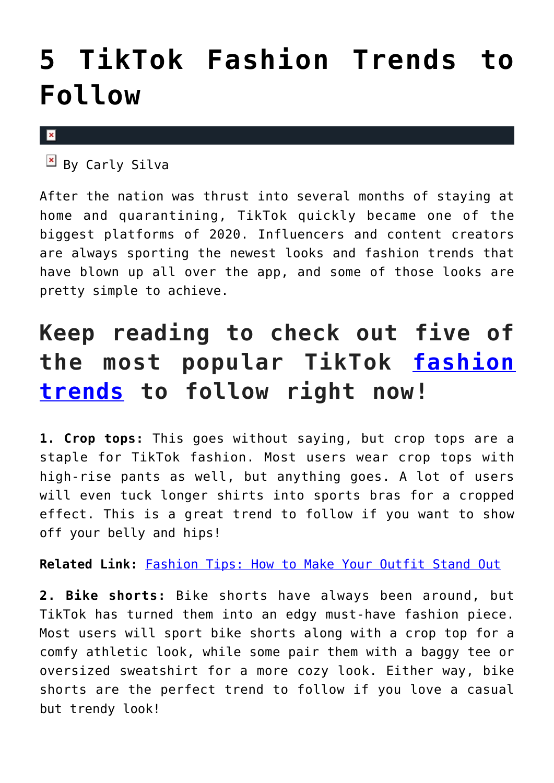## **[5 TikTok Fashion Trends to](https://cupidspulse.com/136059/tiktok-fashion-trends/) [Follow](https://cupidspulse.com/136059/tiktok-fashion-trends/)**

 $\mathbf x$ 

 $\overline{B}$  By Carly Silva

After the nation was thrust into several months of staying at home and quarantining, TikTok quickly became one of the biggest platforms of 2020. Influencers and content creators are always sporting the newest looks and fashion trends that have blown up all over the app, and some of those looks are pretty simple to achieve.

## **Keep reading to check out five of the most popular TikTok [fashion](http://cupidspulse.com/fashion/) [trends](http://cupidspulse.com/fashion/) to follow right now!**

**1. Crop tops:** This goes without saying, but crop tops are a staple for TikTok fashion. Most users wear crop tops with high-rise pants as well, but anything goes. A lot of users will even tuck longer shirts into sports bras for a cropped effect. This is a great trend to follow if you want to show off your belly and hips!

**Related Link:** [Fashion Tips: How to Make Your Outfit Stand Out](http://cupidspulse.com/135743/fashion-tips-how-to-make-outfit-stand-out/)

**2. Bike shorts:** Bike shorts have always been around, but TikTok has turned them into an edgy must-have fashion piece. Most users will sport bike shorts along with a crop top for a comfy athletic look, while some pair them with a baggy tee or oversized sweatshirt for a more cozy look. Either way, bike shorts are the perfect trend to follow if you love a casual but trendy look!